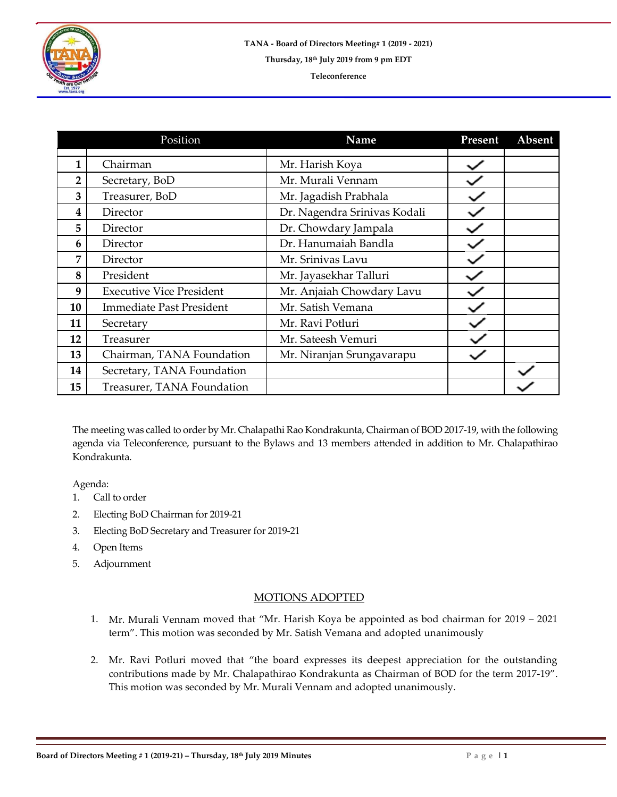

|                | Position                        | Name                         | Present | Absent |
|----------------|---------------------------------|------------------------------|---------|--------|
|                |                                 |                              |         |        |
| 1              | Chairman                        | Mr. Harish Koya              |         |        |
| $\overline{2}$ | Secretary, BoD                  | Mr. Murali Vennam            |         |        |
| 3              | Treasurer, BoD                  | Mr. Jagadish Prabhala        |         |        |
| 4              | Director                        | Dr. Nagendra Srinivas Kodali |         |        |
| 5              | Director                        | Dr. Chowdary Jampala         |         |        |
| 6              | Director                        | Dr. Hanumaiah Bandla         |         |        |
| 7              | Director                        | Mr. Srinivas Lavu            |         |        |
| 8              | President                       | Mr. Jayasekhar Talluri       |         |        |
| 9              | <b>Executive Vice President</b> | Mr. Anjaiah Chowdary Lavu    |         |        |
| 10             | <b>Immediate Past President</b> | Mr. Satish Vemana            |         |        |
| 11             | Secretary                       | Mr. Ravi Potluri             |         |        |
| 12             | Treasurer                       | Mr. Sateesh Vemuri           |         |        |
| 13             | Chairman, TANA Foundation       | Mr. Niranjan Srungavarapu    |         |        |
| 14             | Secretary, TANA Foundation      |                              |         |        |
| 15             | Treasurer, TANA Foundation      |                              |         |        |

The meeting was called to order by Mr. Chalapathi Rao Kondrakunta, Chairman of BOD 2017-19, with the following agenda via Teleconference, pursuant to the Bylaws and 13 members attended in addition to Mr. Chalapathirao Kondrakunta.

Agenda:

- 1. Call to order
- 2. Electing BoD Chairman for 2019-21
- 3. Electing BoD Secretary and Treasurer for 2019-21
- 4. Open Items
- 5. Adjournment

## MOTIONS ADOPTED

- 1. Mr. Murali Vennam moved that "Mr. Harish Koya be appointed as bod chairman for 2019 2021 term". This motion was seconded by Mr. Satish Vemana and adopted unanimously
- 2. Mr. Ravi Potluri moved that "the board expresses its deepest appreciation for the outstanding contributions made by Mr. Chalapathirao Kondrakunta as Chairman of BOD for the term 2017-19". This motion was seconded by Mr. Murali Vennam and adopted unanimously.